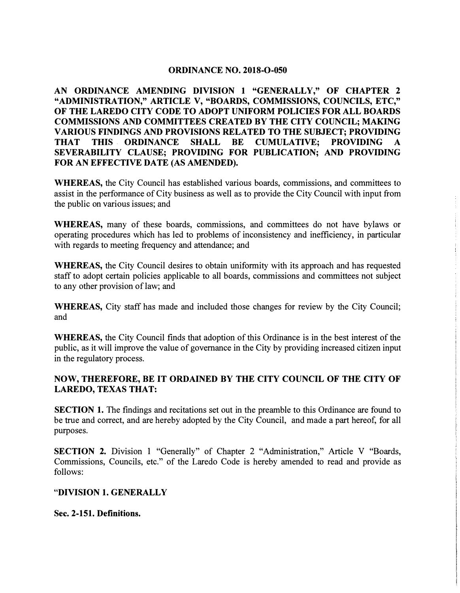### **ORDINANCE NO. 2018-0-050**

**AN ORDINANCE AMENDING DIVISION 1 "GENERALLY," OF CHAPTER 2 "ADMINISTRATION," ARTICLE V, "BOARDS, COMMISSIONS, COUNCILS, ETC," OF THE LAREDO CITY CODE TO ADOPT UNIFORM POLICIES FOR ALL BOARDS COMMISSIONS AND COMMITTEES CREATED BY THE CITY COUNCIL; MAKING VARIOUS FINDINGS AND PROVISIONS RELATED TO THE SUBJECT; PROVIDING THAT THIS ORDINANCE SHALL BE CUMULATIVE; PROVIDING A CUMULATIVE; PROVIDING A SEVERABILITY CLAUSE; PROVIDING FOR PUBLICATION; AND PROVIDING FOR AN EFFECTIVE DATE (AS AMENDED).** 

**WHEREAS,** the City Council has established various boards, commissions, and committees to assist in the performance of City business as well as to provide the City Council with input from the public on various issues; and

**WHEREAS,** many of these boards, commissions, and committees do not have bylaws or operating procedures which has led to problems of inconsistency and inefficiency, in particular with regards to meeting frequency and attendance; and

**WHEREAS,** the City Council desires to obtain uniformity with its approach and has requested staff to adopt certain policies applicable to all boards, commissions and committees not subject to any other provision of law; and

**WHEREAS,** City staff has made and included those changes for review by the City Council; and

**WHEREAS,** the City Council finds that adoption of this Ordinance is in the best interest of the public, as it will improve the value of governance in the City by providing increased citizen input in the regulatory process.

### **NOW, THEREFORE, BE IT ORDAINED BY THE CITY COUNCIL OF THE CITY OF LAREDO, TEXAS THAT:**

**SECTION 1.** The findings and recitations set out in the preamble to this Ordinance are found to be true and correct, and are hereby adopted by the City Council, and made a part hereof, for all purposes.

**SECTION 2.** Division 1 "Generally" of Chapter 2 "Administration," Article V "Boards, Commissions, Councils, etc." of the Laredo Code is hereby amended to read and provide as follows:

### **"DIVISION 1. GENERALLY**

**Sec. 2-151. Definitions.**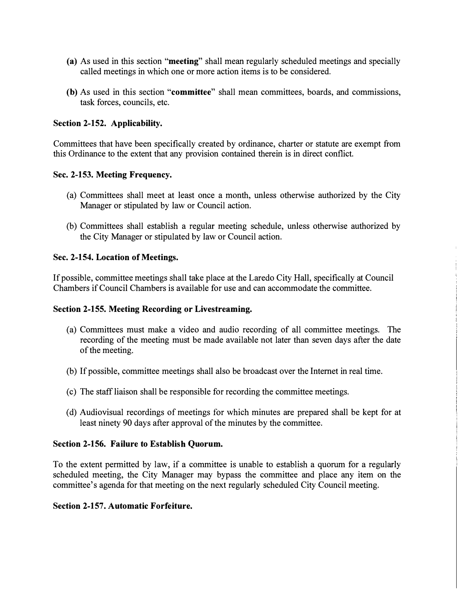- **(a)** As used in this section **"meeting"** shall mean regularly scheduled meetings and specially called meetings in which one or more action items is to be considered.
- **(b)** As used in this section **"committee"** shall mean committees, boards, and commissions, task forces, councils, etc.

### **Section 2-152. Applicability.**

Committees that have been specifically created by ordinance, charter or statute are exempt from this Ordinance to the extent that any provision contained therein is in direct conflict.

### **Sec. 2-153. Meeting Frequency.**

- (a) Committees shall meet at least once a month, unless otherwise authorized by the City Manager or stipulated by law or Council action.
- (b) Committees shall establish a regular meeting schedule, unless otherwise authorized by the City Manager or stipulated by law or Council action.

### **Sec. 2-154. Location of Meetings.**

If possible, committee meetings shall take place at the Laredo City Hall, specifically at Council Chambers if Council Chambers is available for use and can accommodate the committee.

### **Section 2-155. Meeting Recording or Livestreaming.**

- (a) Committees must make a video and audio recording of all committee meetings. The recording of the meeting must be made available not later than seven days after the date of the meeting.
- (b) If possible, committee meetings shall also be broadcast over the Internet in real time.
- ( c) The staff liaison shall be responsible for recording the committee meetings.
- ( d) Audiovisual recordings of meetings for which minutes are prepared shall be kept for at least ninety 90 days after approval of the minutes by the committee.

#### **Section 2-156. Failure to Establish Quorum.**

To the extent permitted by law, if a committee is unable to establish a quorum for a regularly scheduled meeting, the City Manager may bypass the committee and place any item on the committee's agenda for that meeting on the next regularly scheduled City Council meeting.

#### **Section 2-157. Automatic Forfeiture.**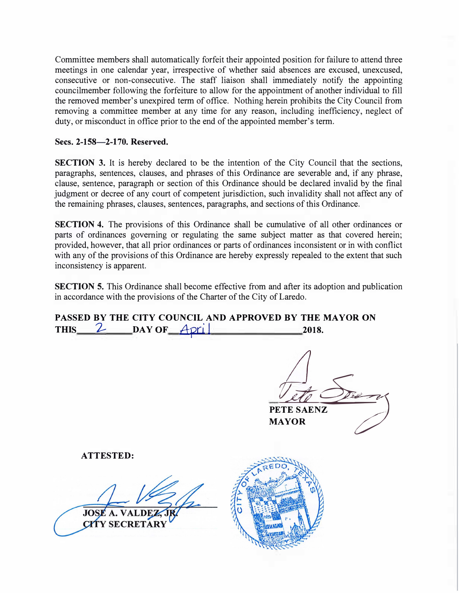Committee members shall automatically forfeit their appointed position for failure to attend three meetings in one calendar year, irrespective of whether said absences are excused, unexcused, consecutive or non-consecutive. The staff liaison shall immediately notify the appointing councilmember following the forfeiture to allow for the appointment of another individual to fill the removed member's unexpired term of office. Nothing herein prohibits the City Council from removing a committee member at any time for any reason, including inefficiency, neglect of duty, or misconduct in office prior to the end of the appointed member's term.

### **Secs. 2-158-2-170. Reserved.**

**SECTION 3.** It is hereby declared to be the intention of the City Council that the sections, paragraphs, sentences, clauses, and phrases of this Ordinance are severable and, if any phrase, clause, sentence, paragraph or section of this Ordinance should be declared invalid by the final judgment or decree of any court of competent jurisdiction, such invalidity shall not affect any of the remaining phrases, clauses, sentences, paragraphs, and sections of this Ordinance.

**SECTION 4.** The provisions of this Ordinance shall be cumulative of all other ordinances or parts of ordinances governing or regulating the same subject matter as that covered herein; provided, however, that all prior ordinances or parts of ordinances inconsistent or in with conflict with any of the provisions of this Ordinance are hereby expressly repealed to the extent that such inconsistency is apparent.

**SECTION 5.** This Ordinance shall become effective from and after its adoption and publication in accordance with the provisions of the Charter of the City of Laredo.

| PASSED BY THE CITY COUNCIL AND APPROVED BY THE MAYOR ON       |                                      |
|---------------------------------------------------------------|--------------------------------------|
| $\sqrt{\text{day of }\text{April}}$<br>$\mathcal{L}$<br>THIS_ | 2018.                                |
|                                                               | $24 -$<br>PETE SAENZ<br><b>MAYOR</b> |
| <b>ATTESTED:</b>                                              |                                      |
| <b>JOSE A. VALDEZ, J</b><br>CITY SECRETARY                    |                                      |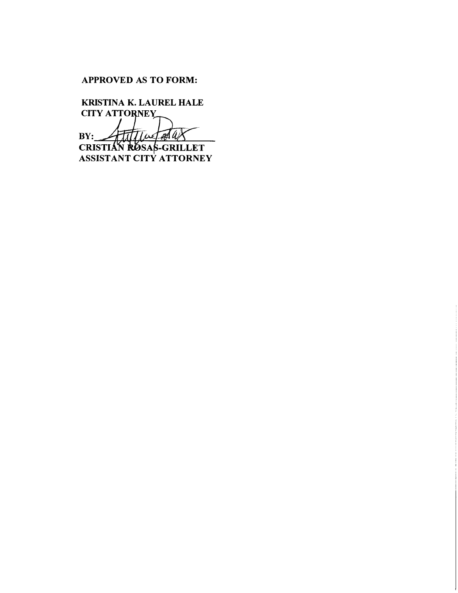## **APPROVED AS TO FORM:**

**KRISTINA K. LAUREL HALE CITY ATTORNEY** BY: ATTILLET<br>
CRISTIAN ROSAS-GRILLET<br>
ASSISTANT CITY ATTORNEY